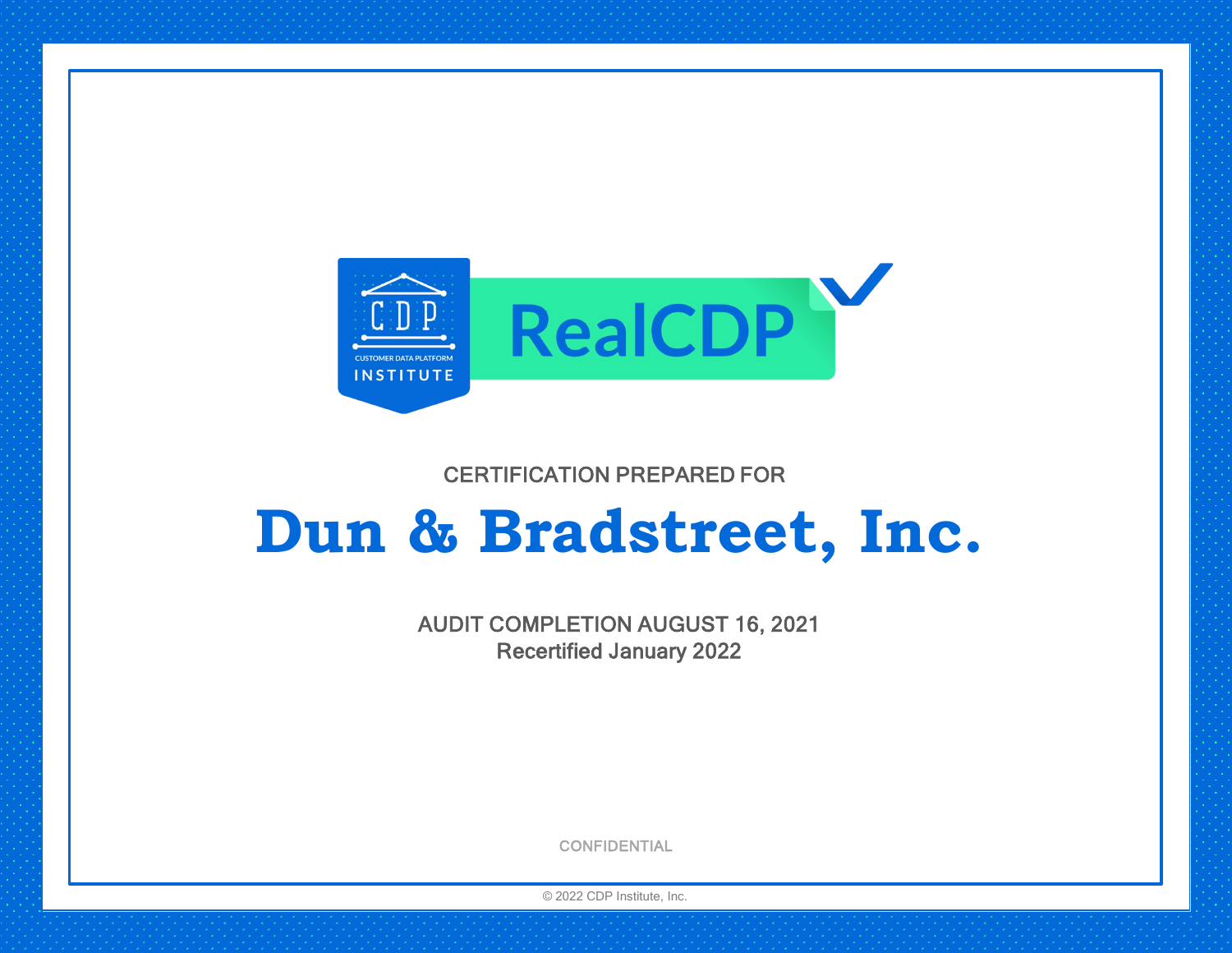

## CERTIFICATION PREPARED FOR

# **Dun & Bradstreet, Inc.**

AUDIT COMPLETION AUGUST 16, 2021 Recertified January 2022

**CONFIDENTIAL** 

© 2022 CDP Institute, Inc.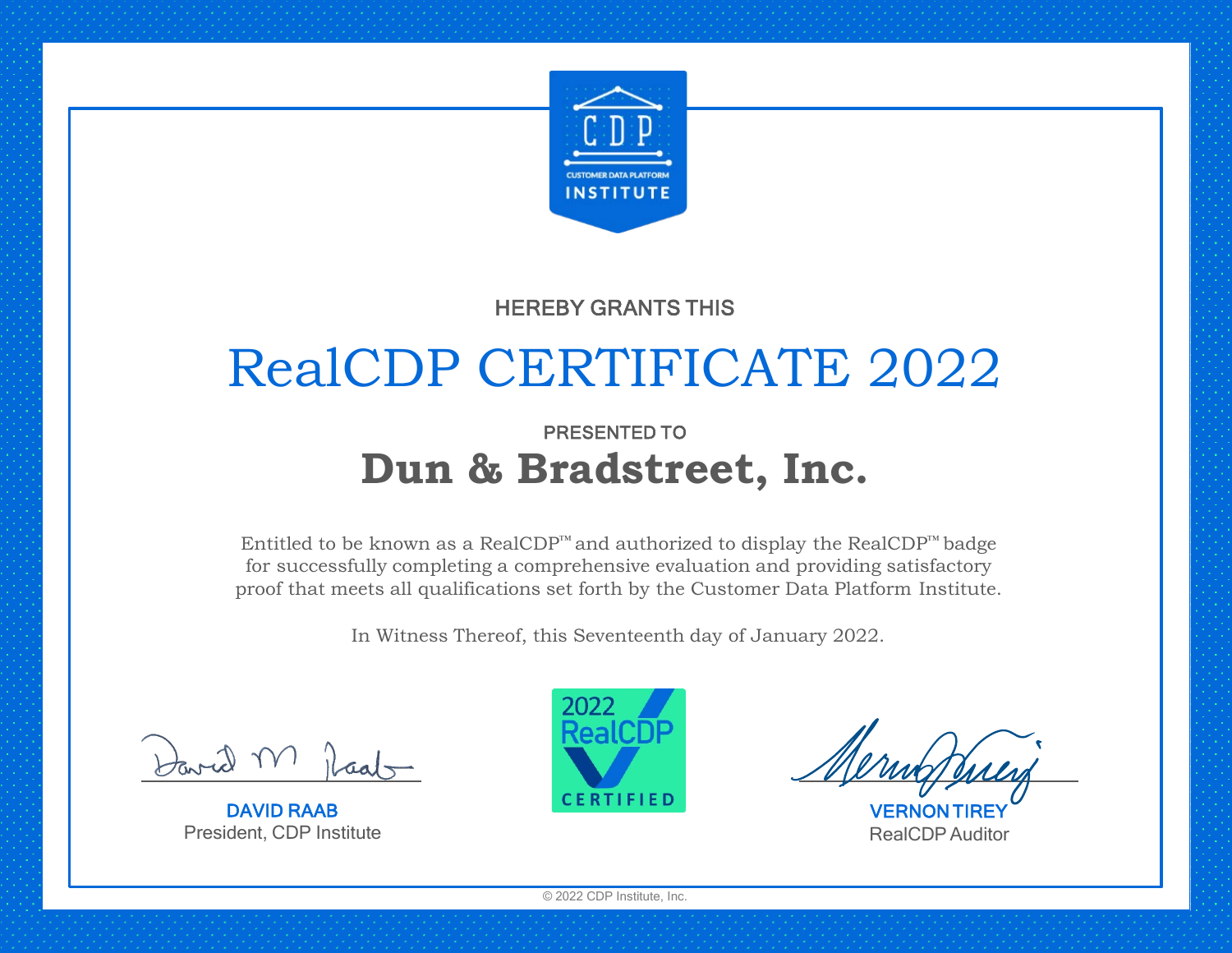

## HEREBY GRANTS THIS

# RealCDP CERTIFICATE 2022

## PRESENTED TO **Dun & Bradstreet, Inc.**

Entitled to be known as a RealCDP™ and authorized to display the RealCDP™ badge for successfully completing a comprehensive evaluation and providing satisfactory proof that meets all qualifications set forth by the Customer Data Platform Institute.

In Witness Thereof, this Seventeenth day of January 2022.

DAVID RAAB President, CDP Institute



**VERNON** RealCDPAuditor

© 2022 CDP Institute, Inc.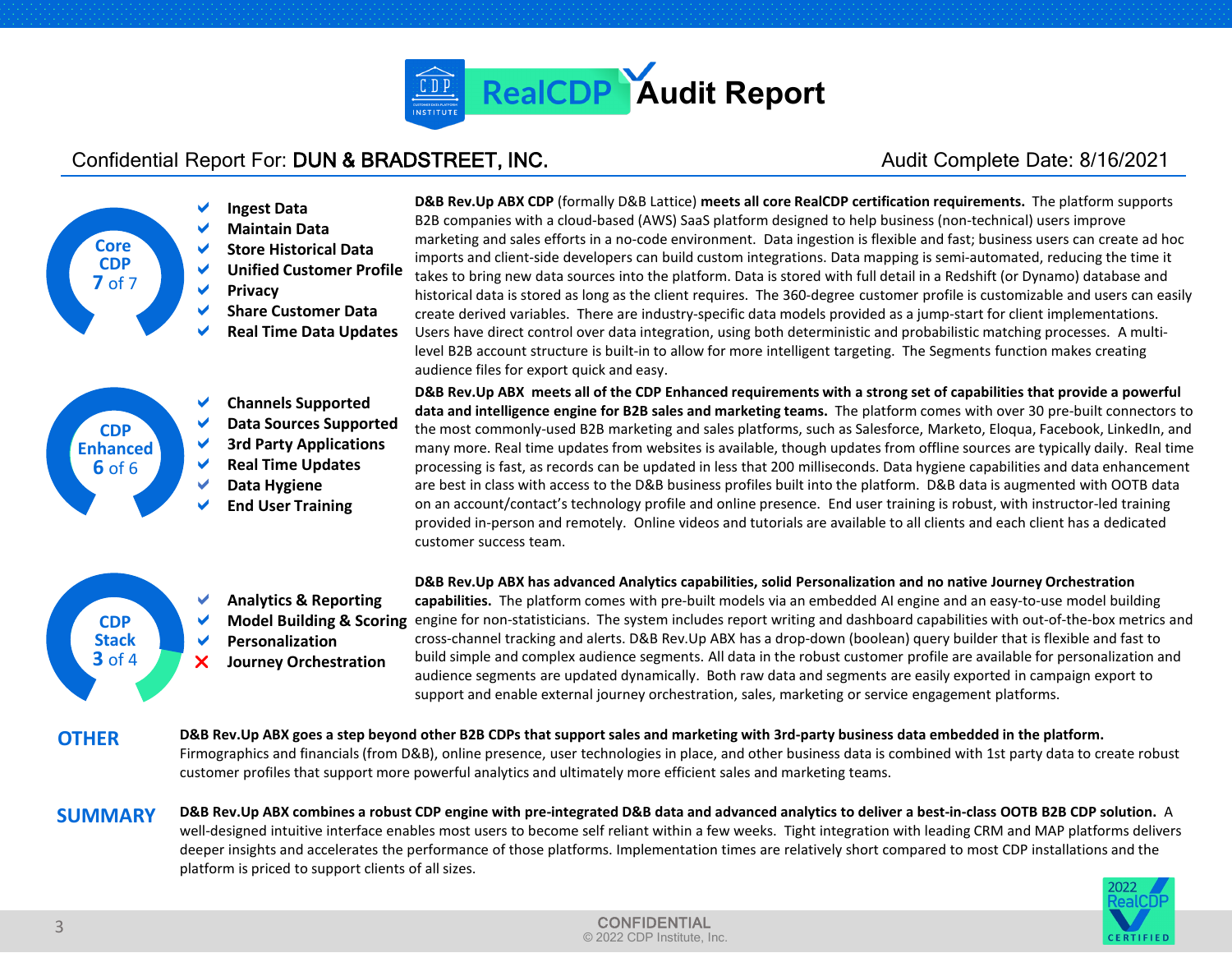

### Confidential Report For: DUN & BRADSTREET, INC. Audit Complete Date: 8/16/2021



 **Analytics & Reporting Personalization Journey Orchestration**

**D&B Rev.Up ABX CDP** (formally D&B Lattice) **meets all core RealCDP certification requirements.** The platform supports B2B companies with a cloud-based (AWS) SaaS platform designed to help business (non-technical) users improve marketing and sales efforts in a no-code environment. Data ingestion is flexible and fast; business users can create ad hoc imports and client-side developers can build custom integrations. Data mapping is semi-automated, reducing the time it takes to bring new data sources into the platform. Data is stored with full detail in a Redshift (or Dynamo) database and historical data is stored as long as the client requires. The 360-degree customer profile is customizable and users can easily create derived variables. There are industry-specific data models provided as a jump-start for client implementations. Users have direct control over data integration, using both deterministic and probabilistic matching processes. A multilevel B2B account structure is built-in to allow for more intelligent targeting. The Segments function makes creating audience files for export quick and easy.

**D&B Rev.Up ABX meets all of the CDP Enhanced requirements with a strong set of capabilities that provide a powerful data and intelligence engine for B2B sales and marketing teams.** The platform comes with over 30 pre-built connectors to the most commonly-used B2B marketing and sales platforms, such as Salesforce, Marketo, Eloqua, Facebook, LinkedIn, and many more. Real time updates from websites is available, though updates from offline sources are typically daily. Real time processing is fast, as records can be updated in less that 200 milliseconds. Data hygiene capabilities and data enhancement are best in class with access to the D&B business profiles built into the platform. D&B data is augmented with OOTB data on an account/contact's technology profile and online presence. End user training is robust, with instructor-led training provided in-person and remotely. Online videos and tutorials are available to all clients and each client has a dedicated customer success team.

**D&B Rev.Up ABX has advanced Analytics capabilities, solid Personalization and no native Journey Orchestration capabilities.** The platform comes with pre-built models via an embedded AI engine and an easy-to-use model building Model Building & Scoring engine for non-statisticians. The system includes report writing and dashboard capabilities with out-of-the-box metrics and cross-channel tracking and alerts. D&B Rev.Up ABX has a drop-down (boolean) query builder that is flexible and fast to build simple and complex audience segments. All data in the robust customer profile are available for personalization and audience segments are updated dynamically. Both raw data and segments are easily exported in campaign export to support and enable external journey orchestration, sales, marketing or service engagement platforms.

**OTHER D&B Rev.Up ABX goes a step beyond other B2B CDPs that support sales and marketing with 3rd-party business data embedded in the platform.** Firmographics and financials (from D&B), online presence, user technologies in place, and other business data is combined with 1st party data to create robust customer profiles that support more powerful analytics and ultimately more efficient sales and marketing teams.

**SUMMARY** 

**CDP Stack 3** of 4

> **D&B Rev.Up ABX combines a robust CDP engine with pre-integrated D&B data and advanced analytics to deliver a best-in-class OOTB B2B CDP solution.** A well-designed intuitive interface enables most users to become self reliant within a few weeks. Tight integration with leading CRM and MAP platforms delivers deeper insights and accelerates the performance of those platforms. Implementation times are relatively short compared to most CDP installations and the platform is priced to support clients of all sizes.

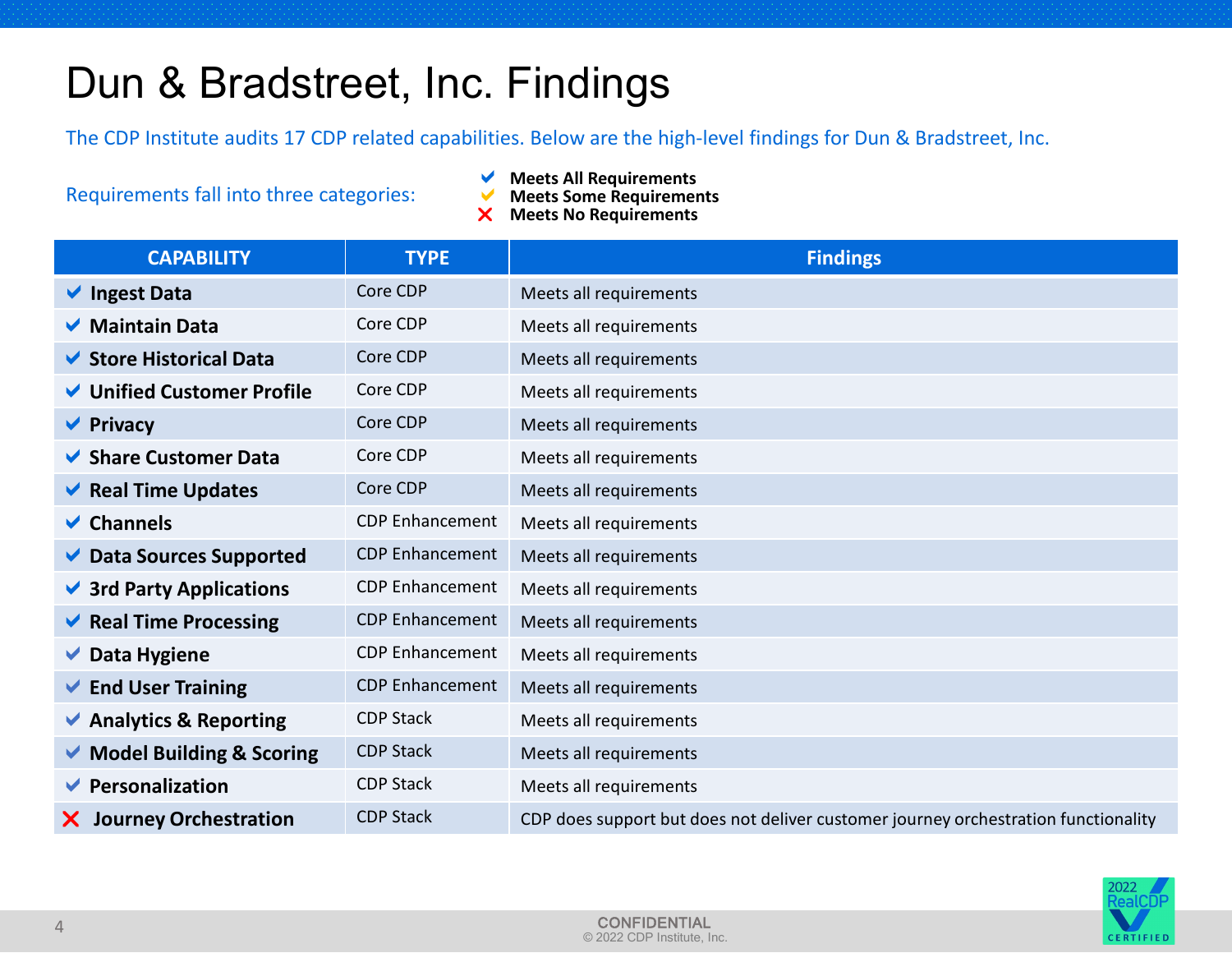# Dun & Bradstreet, Inc. Findings

The CDP Institute audits 17 CDP related capabilities. Below are the high-level findings for Dun & Bradstreet, Inc.

Requirements fall into three categories:

- **Meets All Requirements**<br>**Meets Some Requirement**
- **Meets Some Requirements**
- **Meets No Requirements**

| <b>CAPABILITY</b>                          | <b>TYPE</b>            | <b>Findings</b>                                                                    |
|--------------------------------------------|------------------------|------------------------------------------------------------------------------------|
| $\vee$ Ingest Data                         | Core CDP               | Meets all requirements                                                             |
| <b>▼</b> Maintain Data                     | Core CDP               | Meets all requirements                                                             |
| ◆ Store Historical Data                    | Core CDP               | Meets all requirements                                                             |
| ↓ Unified Customer Profile                 | Core CDP               | Meets all requirements                                                             |
| $\blacktriangleright$ Privacy              | Core CDP               | Meets all requirements                                                             |
| <b>► Share Customer Data</b>               | Core CDP               | Meets all requirements                                                             |
| $\blacktriangleright$ Real Time Updates    | Core CDP               | Meets all requirements                                                             |
| $\vee$ Channels                            | <b>CDP</b> Enhancement | Meets all requirements                                                             |
| Data Sources Supported                     | <b>CDP Enhancement</b> | Meets all requirements                                                             |
| $\vee$ 3rd Party Applications              | <b>CDP Enhancement</b> | Meets all requirements                                                             |
| $\blacktriangleright$ Real Time Processing | <b>CDP</b> Enhancement | Meets all requirements                                                             |
| $\vee$ Data Hygiene                        | <b>CDP Enhancement</b> | Meets all requirements                                                             |
| $\blacktriangleright$ End User Training    | <b>CDP Enhancement</b> | Meets all requirements                                                             |
| Analytics & Reporting                      | <b>CDP Stack</b>       | Meets all requirements                                                             |
| Model Building & Scoring                   | <b>CDP Stack</b>       | Meets all requirements                                                             |
| $\blacktriangleright$ Personalization      | <b>CDP Stack</b>       | Meets all requirements                                                             |
| <b>Journey Orchestration</b><br>X.         | <b>CDP Stack</b>       | CDP does support but does not deliver customer journey orchestration functionality |